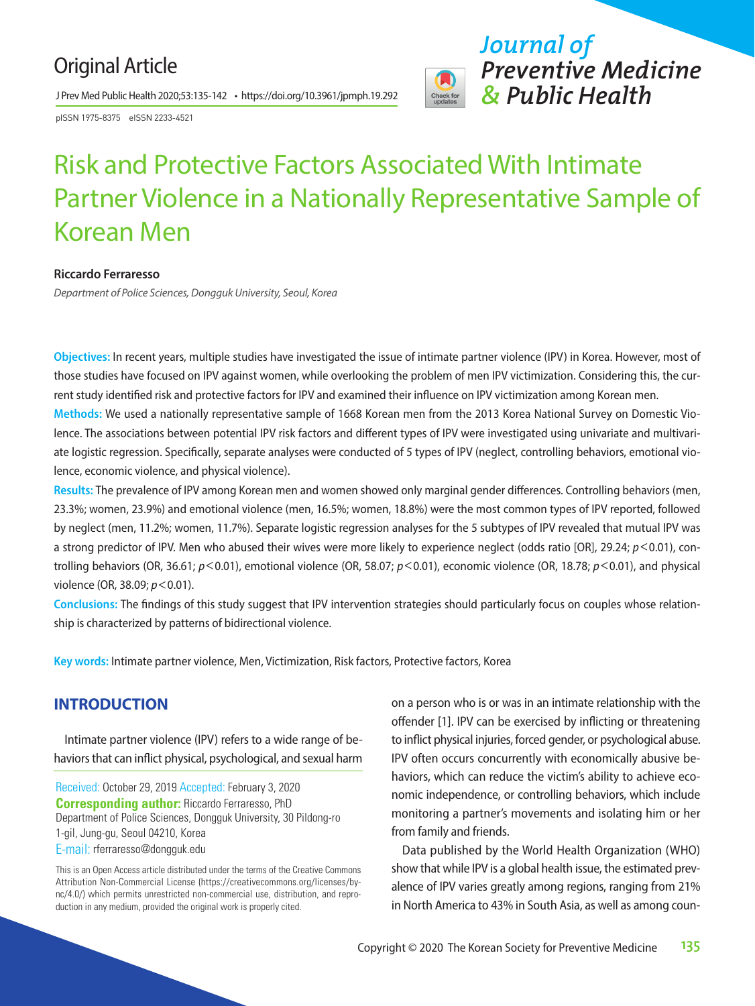## Original Article

J Prev Med Public Health 2020;53:135-142 • https://doi.org/10.3961/jpmph.19.292

pISSN 1975-8375 eISSN 2233-4521



# Risk and Protective Factors Associated With Intimate Partner Violence in a Nationally Representative Sample of Korean Men

#### **Riccardo Ferraresso**

*Department of Police Sciences, Dongguk University, Seoul, Korea* 

**Objectives:** In recent years, multiple studies have investigated the issue of intimate partner violence (IPV) in Korea. However, most of those studies have focused on IPV against women, while overlooking the problem of men IPV victimization. Considering this, the current study identified risk and protective factors for IPV and examined their influence on IPV victimization among Korean men. **Methods:** We used a nationally representative sample of 1668 Korean men from the 2013 Korea National Survey on Domestic Violence. The associations between potential IPV risk factors and different types of IPV were investigated using univariate and multivariate logistic regression. Specifically, separate analyses were conducted of 5 types of IPV (neglect, controlling behaviors, emotional violence, economic violence, and physical violence).

**Results:** The prevalence of IPV among Korean men and women showed only marginal gender differences. Controlling behaviors (men, 23.3%; women, 23.9%) and emotional violence (men, 16.5%; women, 18.8%) were the most common types of IPV reported, followed by neglect (men, 11.2%; women, 11.7%). Separate logistic regression analyses for the 5 subtypes of IPV revealed that mutual IPV was a strong predictor of IPV. Men who abused their wives were more likely to experience neglect (odds ratio [OR], 29.24; *p*<0.01), controlling behaviors (OR, 36.61; *p*<0.01), emotional violence (OR, 58.07; *p*<0.01), economic violence (OR, 18.78; *p*<0.01), and physical violence (OR, 38.09; *p*<0.01).

**Conclusions:** The findings of this study suggest that IPV intervention strategies should particularly focus on couples whose relationship is characterized by patterns of bidirectional violence.

**Key words:** Intimate partner violence, Men, Victimization, Risk factors, Protective factors, Korea

## **INTRODUCTION**

Intimate partner violence (IPV) refers to a wide range of behaviors that can inflict physical, psychological, and sexual harm

Received: October 29, 2019 Accepted: February 3, 2020 **Corresponding author:** Riccardo Ferraresso, PhD Department of Police Sciences, Dongguk University, 30 Pildong-ro 1-gil, Jung-gu, Seoul 04210, Korea E-mail: rferraresso@dongguk.edu

This is an Open Access article distributed under the terms of the Creative Commons Attribution Non-Commercial License (https://creativecommons.org/licenses/bync/4.0/) which permits unrestricted non-commercial use, distribution, and reproduction in any medium, provided the original work is properly cited.

on a person who is or was in an intimate relationship with the offender [1]. IPV can be exercised by inflicting or threatening to inflict physical injuries, forced gender, or psychological abuse. IPV often occurs concurrently with economically abusive behaviors, which can reduce the victim's ability to achieve economic independence, or controlling behaviors, which include monitoring a partner's movements and isolating him or her from family and friends.

Data published by the World Health Organization (WHO) show that while IPV is a global health issue, the estimated prevalence of IPV varies greatly among regions, ranging from 21% in North America to 43% in South Asia, as well as among coun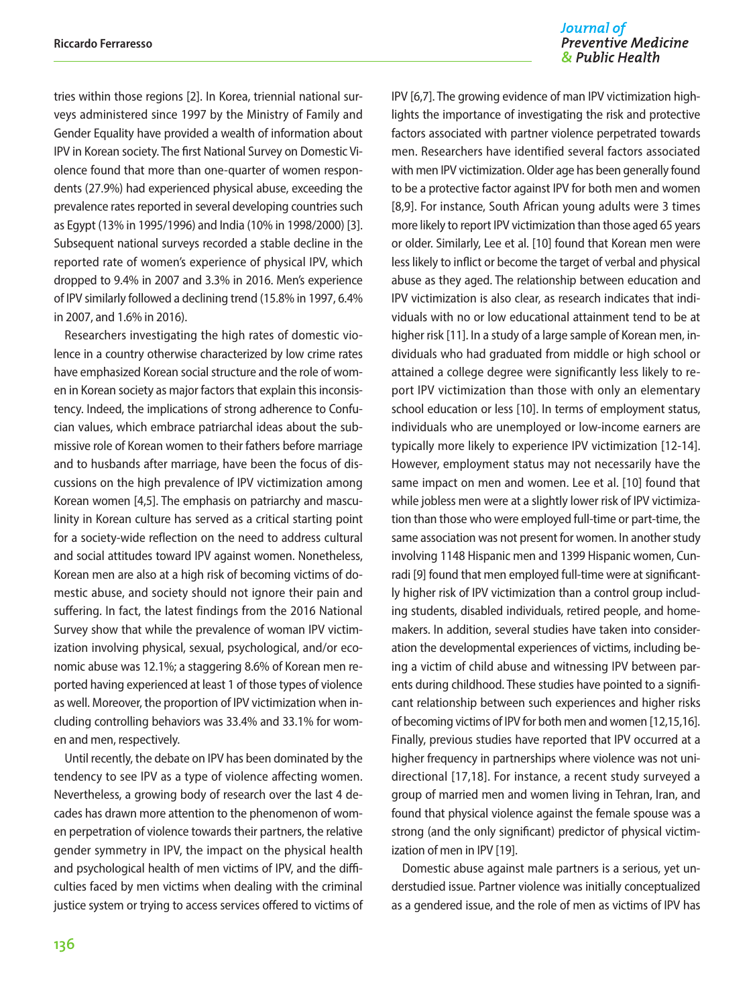tries within those regions [2]. In Korea, triennial national surveys administered since 1997 by the Ministry of Family and Gender Equality have provided a wealth of information about IPV in Korean society. The first National Survey on Domestic Violence found that more than one-quarter of women respondents (27.9%) had experienced physical abuse, exceeding the prevalence rates reported in several developing countries such as Egypt (13% in 1995/1996) and India (10% in 1998/2000) [3]. Subsequent national surveys recorded a stable decline in the reported rate of women's experience of physical IPV, which dropped to 9.4% in 2007 and 3.3% in 2016. Men's experience of IPV similarly followed a declining trend (15.8% in 1997, 6.4% in 2007, and 1.6% in 2016).

Researchers investigating the high rates of domestic violence in a country otherwise characterized by low crime rates have emphasized Korean social structure and the role of women in Korean society as major factors that explain this inconsistency. Indeed, the implications of strong adherence to Confucian values, which embrace patriarchal ideas about the submissive role of Korean women to their fathers before marriage and to husbands after marriage, have been the focus of discussions on the high prevalence of IPV victimization among Korean women [4,5]. The emphasis on patriarchy and masculinity in Korean culture has served as a critical starting point for a society-wide reflection on the need to address cultural and social attitudes toward IPV against women. Nonetheless, Korean men are also at a high risk of becoming victims of domestic abuse, and society should not ignore their pain and suffering. In fact, the latest findings from the 2016 National Survey show that while the prevalence of woman IPV victimization involving physical, sexual, psychological, and/or economic abuse was 12.1%; a staggering 8.6% of Korean men reported having experienced at least 1 of those types of violence as well. Moreover, the proportion of IPV victimization when including controlling behaviors was 33.4% and 33.1% for women and men, respectively.

Until recently, the debate on IPV has been dominated by the tendency to see IPV as a type of violence affecting women. Nevertheless, a growing body of research over the last 4 decades has drawn more attention to the phenomenon of women perpetration of violence towards their partners, the relative gender symmetry in IPV, the impact on the physical health and psychological health of men victims of IPV, and the difficulties faced by men victims when dealing with the criminal justice system or trying to access services offered to victims of

#### Journal of **Preventive Medicine** & Public Health

IPV [6,7]. The growing evidence of man IPV victimization highlights the importance of investigating the risk and protective factors associated with partner violence perpetrated towards men. Researchers have identified several factors associated with men IPV victimization. Older age has been generally found to be a protective factor against IPV for both men and women [8,9]. For instance, South African young adults were 3 times more likely to report IPV victimization than those aged 65 years or older. Similarly, Lee et al. [10] found that Korean men were less likely to inflict or become the target of verbal and physical abuse as they aged. The relationship between education and IPV victimization is also clear, as research indicates that individuals with no or low educational attainment tend to be at higher risk [11]. In a study of a large sample of Korean men, individuals who had graduated from middle or high school or attained a college degree were significantly less likely to report IPV victimization than those with only an elementary school education or less [10]. In terms of employment status, individuals who are unemployed or low-income earners are typically more likely to experience IPV victimization [12-14]. However, employment status may not necessarily have the same impact on men and women. Lee et al. [10] found that while jobless men were at a slightly lower risk of IPV victimization than those who were employed full-time or part-time, the same association was not present for women. In another study involving 1148 Hispanic men and 1399 Hispanic women, Cunradi [9] found that men employed full-time were at significantly higher risk of IPV victimization than a control group including students, disabled individuals, retired people, and homemakers. In addition, several studies have taken into consideration the developmental experiences of victims, including being a victim of child abuse and witnessing IPV between parents during childhood. These studies have pointed to a significant relationship between such experiences and higher risks of becoming victims of IPV for both men and women [12,15,16]. Finally, previous studies have reported that IPV occurred at a higher frequency in partnerships where violence was not unidirectional [17,18]. For instance, a recent study surveyed a group of married men and women living in Tehran, Iran, and found that physical violence against the female spouse was a strong (and the only significant) predictor of physical victimization of men in IPV [19].

Domestic abuse against male partners is a serious, yet understudied issue. Partner violence was initially conceptualized as a gendered issue, and the role of men as victims of IPV has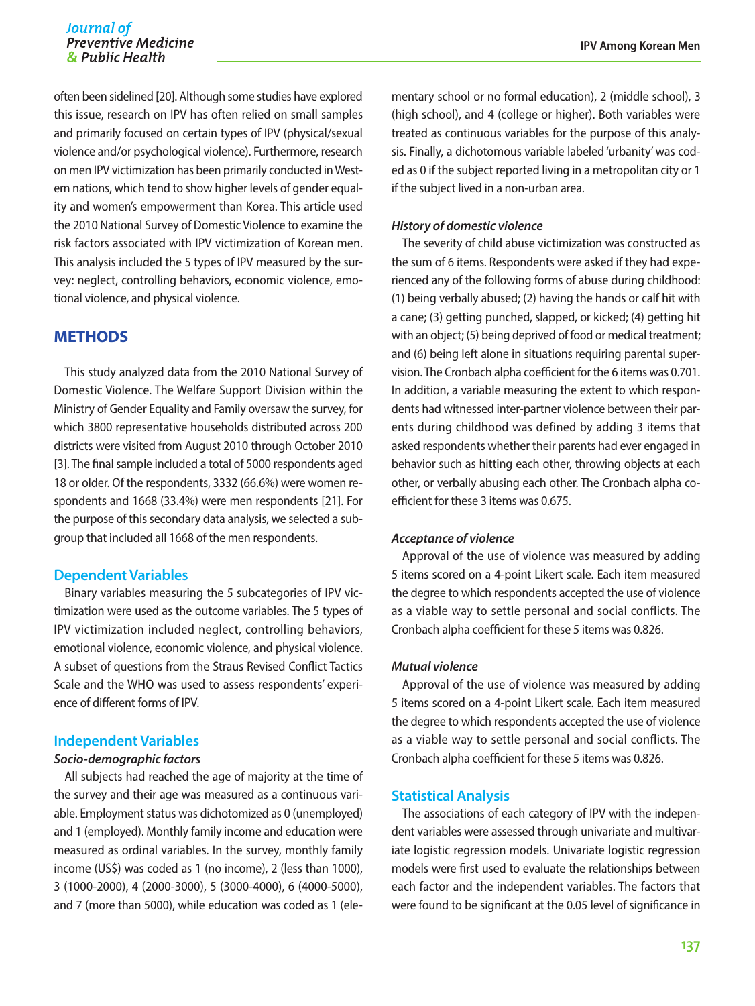often been sidelined [20]. Although some studies have explored this issue, research on IPV has often relied on small samples and primarily focused on certain types of IPV (physical/sexual violence and/or psychological violence). Furthermore, research on men IPV victimization has been primarily conducted in Western nations, which tend to show higher levels of gender equality and women's empowerment than Korea. This article used the 2010 National Survey of Domestic Violence to examine the risk factors associated with IPV victimization of Korean men. This analysis included the 5 types of IPV measured by the survey: neglect, controlling behaviors, economic violence, emotional violence, and physical violence.

## **METHODS**

This study analyzed data from the 2010 National Survey of Domestic Violence. The Welfare Support Division within the Ministry of Gender Equality and Family oversaw the survey, for which 3800 representative households distributed across 200 districts were visited from August 2010 through October 2010 [3]. The final sample included a total of 5000 respondents aged 18 or older. Of the respondents, 3332 (66.6%) were women respondents and 1668 (33.4%) were men respondents [21]. For the purpose of this secondary data analysis, we selected a subgroup that included all 1668 of the men respondents.

#### **Dependent Variables**

Binary variables measuring the 5 subcategories of IPV victimization were used as the outcome variables. The 5 types of IPV victimization included neglect, controlling behaviors, emotional violence, economic violence, and physical violence. A subset of questions from the Straus Revised Conflict Tactics Scale and the WHO was used to assess respondents' experience of different forms of IPV.

#### **Independent Variables**

#### *Socio-demographic factors*

All subjects had reached the age of majority at the time of the survey and their age was measured as a continuous variable. Employment status was dichotomized as 0 (unemployed) and 1 (employed). Monthly family income and education were measured as ordinal variables. In the survey, monthly family income (US\$) was coded as 1 (no income), 2 (less than 1000), 3 (1000-2000), 4 (2000-3000), 5 (3000-4000), 6 (4000-5000), and 7 (more than 5000), while education was coded as 1 (ele-

mentary school or no formal education), 2 (middle school), 3 (high school), and 4 (college or higher). Both variables were treated as continuous variables for the purpose of this analysis. Finally, a dichotomous variable labeled 'urbanity' was coded as 0 if the subject reported living in a metropolitan city or 1 if the subject lived in a non-urban area.

#### *History of domestic violence*

The severity of child abuse victimization was constructed as the sum of 6 items. Respondents were asked if they had experienced any of the following forms of abuse during childhood: (1) being verbally abused; (2) having the hands or calf hit with a cane; (3) getting punched, slapped, or kicked; (4) getting hit with an object; (5) being deprived of food or medical treatment; and (6) being left alone in situations requiring parental supervision. The Cronbach alpha coefficient for the 6 items was 0.701. In addition, a variable measuring the extent to which respondents had witnessed inter-partner violence between their parents during childhood was defined by adding 3 items that asked respondents whether their parents had ever engaged in behavior such as hitting each other, throwing objects at each other, or verbally abusing each other. The Cronbach alpha coefficient for these 3 items was 0.675.

#### *Acceptance of violence*

Approval of the use of violence was measured by adding 5 items scored on a 4-point Likert scale. Each item measured the degree to which respondents accepted the use of violence as a viable way to settle personal and social conflicts. The Cronbach alpha coefficient for these 5 items was 0.826.

#### *Mutual violence*

Approval of the use of violence was measured by adding 5 items scored on a 4-point Likert scale. Each item measured the degree to which respondents accepted the use of violence as a viable way to settle personal and social conflicts. The Cronbach alpha coefficient for these 5 items was 0.826.

#### **Statistical Analysis**

The associations of each category of IPV with the independent variables were assessed through univariate and multivariate logistic regression models. Univariate logistic regression models were first used to evaluate the relationships between each factor and the independent variables. The factors that were found to be significant at the 0.05 level of significance in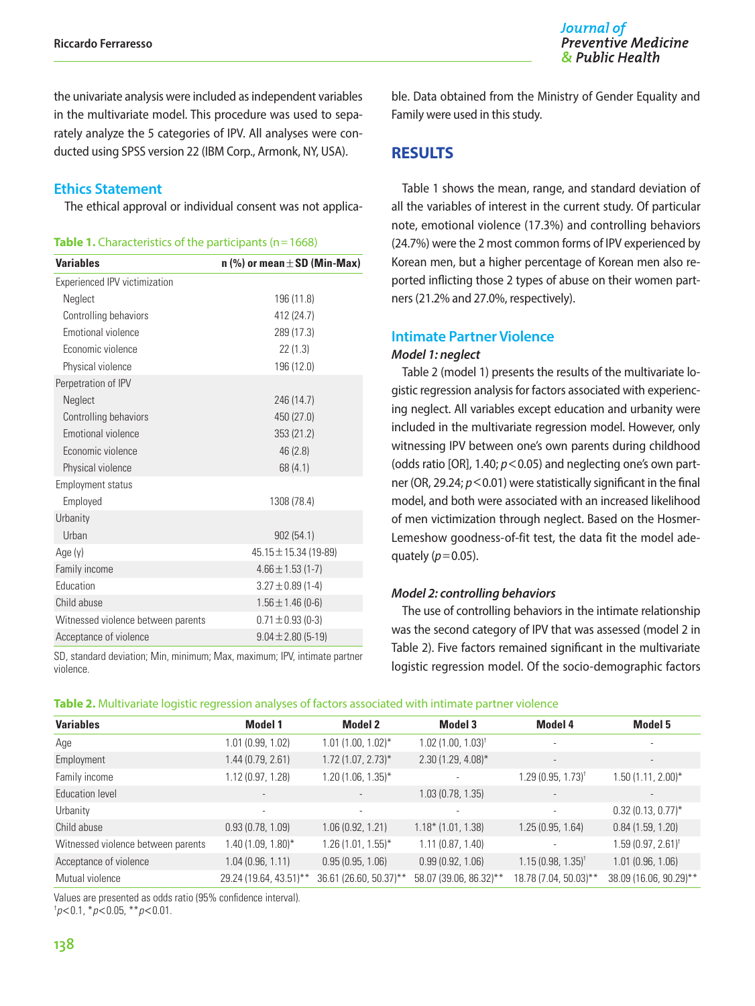Journal of **Preventive Medicine** & Public Health

the univariate analysis were included as independent variables in the multivariate model. This procedure was used to separately analyze the 5 categories of IPV. All analyses were conducted using SPSS version 22 (IBM Corp., Armonk, NY, USA).

#### **Ethics Statement**

The ethical approval or individual consent was not applica-

| Table 1. Characteristics of the participants (n=1668) |  |  |
|-------------------------------------------------------|--|--|
|-------------------------------------------------------|--|--|

| <b>Variables</b>                   | n (%) or mean $\pm$ SD (Min-Max) |  |  |  |  |
|------------------------------------|----------------------------------|--|--|--|--|
| Experienced IPV victimization      |                                  |  |  |  |  |
| Neglect                            | 196 (11.8)                       |  |  |  |  |
| Controlling behaviors              | 412 (24.7)                       |  |  |  |  |
| Emotional violence                 | 289 (17.3)                       |  |  |  |  |
| Economic violence                  | 22(1.3)                          |  |  |  |  |
| Physical violence                  | 196 (12.0)                       |  |  |  |  |
| Perpetration of IPV                |                                  |  |  |  |  |
| Neglect                            | 246 (14.7)                       |  |  |  |  |
| Controlling behaviors              | 450 (27.0)                       |  |  |  |  |
| Emotional violence                 | 353 (21.2)                       |  |  |  |  |
| Economic violence                  | 46 (2.8)                         |  |  |  |  |
| Physical violence                  | 68(4.1)                          |  |  |  |  |
| <b>Employment status</b>           |                                  |  |  |  |  |
| Employed                           | 1308 (78.4)                      |  |  |  |  |
| Urbanity                           |                                  |  |  |  |  |
| Urban                              | 902 (54.1)                       |  |  |  |  |
| Age (y)                            | 45.15±15.34 (19-89)              |  |  |  |  |
| Family income                      | $4.66 \pm 1.53$ (1-7)            |  |  |  |  |
| Education                          | $3.27 \pm 0.89$ (1-4)            |  |  |  |  |
| Child abuse                        | $1.56 \pm 1.46$ (0-6)            |  |  |  |  |
| Witnessed violence between parents | $0.71 \pm 0.93$ (0-3)            |  |  |  |  |
| Acceptance of violence             | $9.04 \pm 2.80$ (5-19)           |  |  |  |  |

SD, standard deviation; Min, minimum; Max, maximum; IPV, intimate partner violence.

ble. Data obtained from the Ministry of Gender Equality and Family were used in this study.

## **RESULTS**

Table 1 shows the mean, range, and standard deviation of all the variables of interest in the current study. Of particular note, emotional violence (17.3%) and controlling behaviors (24.7%) were the 2 most common forms of IPV experienced by Korean men, but a higher percentage of Korean men also reported inflicting those 2 types of abuse on their women partners (21.2% and 27.0%, respectively).

#### **Intimate Partner Violence**

#### *Model 1: neglect*

Table 2 (model 1) presents the results of the multivariate logistic regression analysis for factors associated with experiencing neglect. All variables except education and urbanity were included in the multivariate regression model. However, only witnessing IPV between one's own parents during childhood (odds ratio [OR], 1.40; *p*<0.05) and neglecting one's own partner (OR, 29.24;  $p$ <0.01) were statistically significant in the final model, and both were associated with an increased likelihood of men victimization through neglect. Based on the Hosmer-Lemeshow goodness-of-fit test, the data fit the model adequately  $(p=0.05)$ .

#### *Model 2: controlling behaviors*

The use of controlling behaviors in the intimate relationship was the second category of IPV that was assessed (model 2 in Table 2). Five factors remained significant in the multivariate logistic regression model. Of the socio-demographic factors

|  |  |  |  |  | Table 2. Multivariate logistic regression analyses of factors associated with intimate partner violence |
|--|--|--|--|--|---------------------------------------------------------------------------------------------------------|
|--|--|--|--|--|---------------------------------------------------------------------------------------------------------|

| <b>Variables</b>                   | Model 1                  | Model 2                  | <b>Model 3</b>                      | Model 4                         | Model 5                      |
|------------------------------------|--------------------------|--------------------------|-------------------------------------|---------------------------------|------------------------------|
| Age                                | 1.01 (0.99, 1.02)        | $1.01$ (1.00, 1.02)*     | $1.02$ (1.00, $1.03$ ) <sup>†</sup> | $\sim$                          | $\overline{\phantom{a}}$     |
| Employment                         | 1.44 (0.79, 2.61)        | $1.72(1.07, 2.73)$ *     | $2.30(1.29, 4.08)^{*}$              | $\overline{\phantom{a}}$        | $\overline{\phantom{a}}$     |
| Family income                      | 1.12 (0.97, 1.28)        | $1.20(1.06, 1.35)^{*}$   | $\overline{\phantom{a}}$            | $1.29(0.95, 1.73)$ <sup>†</sup> | $1.50(1.11, 2.00)^*$         |
| Education level                    | $\overline{\phantom{a}}$ |                          | 1.03(0.78, 1.35)                    |                                 |                              |
| Urbanity                           | $\overline{\phantom{a}}$ | $\overline{\phantom{a}}$ | $\overline{\phantom{a}}$            |                                 | $0.32(0.13, 0.77)^*$         |
| Child abuse                        | 0.93(0.78, 1.09)         | 1.06(0.92, 1.21)         | $1.18*$ (1.01, 1.38)                | 1.25(0.95, 1.64)                | 0.84(1.59, 1.20)             |
| Witnessed violence between parents | 1.40 (1.09, 1.80)*       | $1.26(1.01, 1.55)^*$     | 1.11(0.87, 1.40)                    | ٠                               | $1.59(0.97, 2.61)^{\dagger}$ |
| Acceptance of violence             | 1.04(0.96, 1.11)         | 0.95(0.95, 1.06)         | 0.99(0.92, 1.06)                    | $1.15(0.98, 1.35)^{\dagger}$    | 1.01(0.96, 1.06)             |
| Mutual violence                    | 29.24 (19.64, 43.51)**   | 36.61 (26.60, 50.37)**   | 58.07 (39.06, 86.32)**              | 18.78 (7.04, 50.03)**           | 38.09 (16.06, 90.29)**       |

Values are presented as odds ratio (95% confidence interval).

† *p*<0.1, \**p*<0.05, \*\**p*<0.01.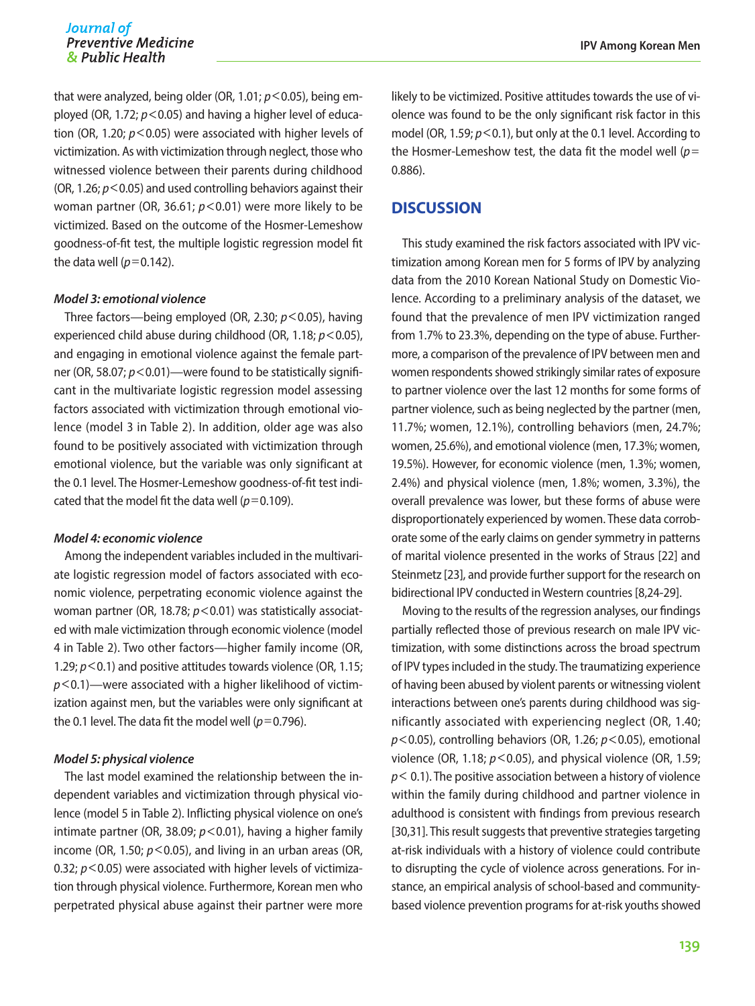that were analyzed, being older (OR, 1.01; *p*<0.05), being employed (OR, 1.72; *p*<0.05) and having a higher level of education (OR, 1.20; *p*<0.05) were associated with higher levels of victimization. As with victimization through neglect, those who witnessed violence between their parents during childhood (OR, 1.26; *p*<0.05) and used controlling behaviors against their woman partner (OR, 36.61;  $p$ <0.01) were more likely to be victimized. Based on the outcome of the Hosmer-Lemeshow goodness-of-fit test, the multiple logistic regression model fit the data well  $(p=0.142)$ .

#### *Model 3: emotional violence*

Three factors—being employed (OR, 2.30; *p*<0.05), having experienced child abuse during childhood (OR, 1.18; *p*<0.05), and engaging in emotional violence against the female partner (OR, 58.07;  $p < 0.01$ )—were found to be statistically significant in the multivariate logistic regression model assessing factors associated with victimization through emotional violence (model 3 in Table 2). In addition, older age was also found to be positively associated with victimization through emotional violence, but the variable was only significant at the 0.1 level. The Hosmer-Lemeshow goodness-of-fit test indicated that the model fit the data well  $(p=0.109)$ .

#### *Model 4: economic violence*

Among the independent variables included in the multivariate logistic regression model of factors associated with economic violence, perpetrating economic violence against the woman partner (OR, 18.78;  $p$ <0.01) was statistically associated with male victimization through economic violence (model 4 in Table 2). Two other factors—higher family income (OR, 1.29; *p*<0.1) and positive attitudes towards violence (OR, 1.15; *p*<0.1)—were associated with a higher likelihood of victimization against men, but the variables were only significant at the 0.1 level. The data fit the model well ( $p=0.796$ ).

#### *Model 5: physical violence*

The last model examined the relationship between the independent variables and victimization through physical violence (model 5 in Table 2). Inflicting physical violence on one's intimate partner (OR, 38.09; *p*<0.01), having a higher family income (OR, 1.50;  $p < 0.05$ ), and living in an urban areas (OR, 0.32; *p* < 0.05) were associated with higher levels of victimization through physical violence. Furthermore, Korean men who perpetrated physical abuse against their partner were more

likely to be victimized. Positive attitudes towards the use of violence was found to be the only significant risk factor in this model (OR, 1.59; *p*<0.1), but only at the 0.1 level. According to the Hosmer-Lemeshow test, the data fit the model well (*p*= 0.886).

## **DISCUSSION**

This study examined the risk factors associated with IPV victimization among Korean men for 5 forms of IPV by analyzing data from the 2010 Korean National Study on Domestic Violence. According to a preliminary analysis of the dataset, we found that the prevalence of men IPV victimization ranged from 1.7% to 23.3%, depending on the type of abuse. Furthermore, a comparison of the prevalence of IPV between men and women respondents showed strikingly similar rates of exposure to partner violence over the last 12 months for some forms of partner violence, such as being neglected by the partner (men, 11.7%; women, 12.1%), controlling behaviors (men, 24.7%; women, 25.6%), and emotional violence (men, 17.3%; women, 19.5%). However, for economic violence (men, 1.3%; women, 2.4%) and physical violence (men, 1.8%; women, 3.3%), the overall prevalence was lower, but these forms of abuse were disproportionately experienced by women. These data corroborate some of the early claims on gender symmetry in patterns of marital violence presented in the works of Straus [22] and Steinmetz [23], and provide further support for the research on bidirectional IPV conducted in Western countries [8,24-29].

Moving to the results of the regression analyses, our findings partially reflected those of previous research on male IPV victimization, with some distinctions across the broad spectrum of IPV types included in the study. The traumatizing experience of having been abused by violent parents or witnessing violent interactions between one's parents during childhood was significantly associated with experiencing neglect (OR, 1.40; *p*<0.05), controlling behaviors (OR, 1.26; *p*<0.05), emotional violence (OR, 1.18;  $p$ <0.05), and physical violence (OR, 1.59; *p*< 0.1). The positive association between a history of violence within the family during childhood and partner violence in adulthood is consistent with findings from previous research [30,31]. This result suggests that preventive strategies targeting at-risk individuals with a history of violence could contribute to disrupting the cycle of violence across generations. For instance, an empirical analysis of school-based and communitybased violence prevention programs for at-risk youths showed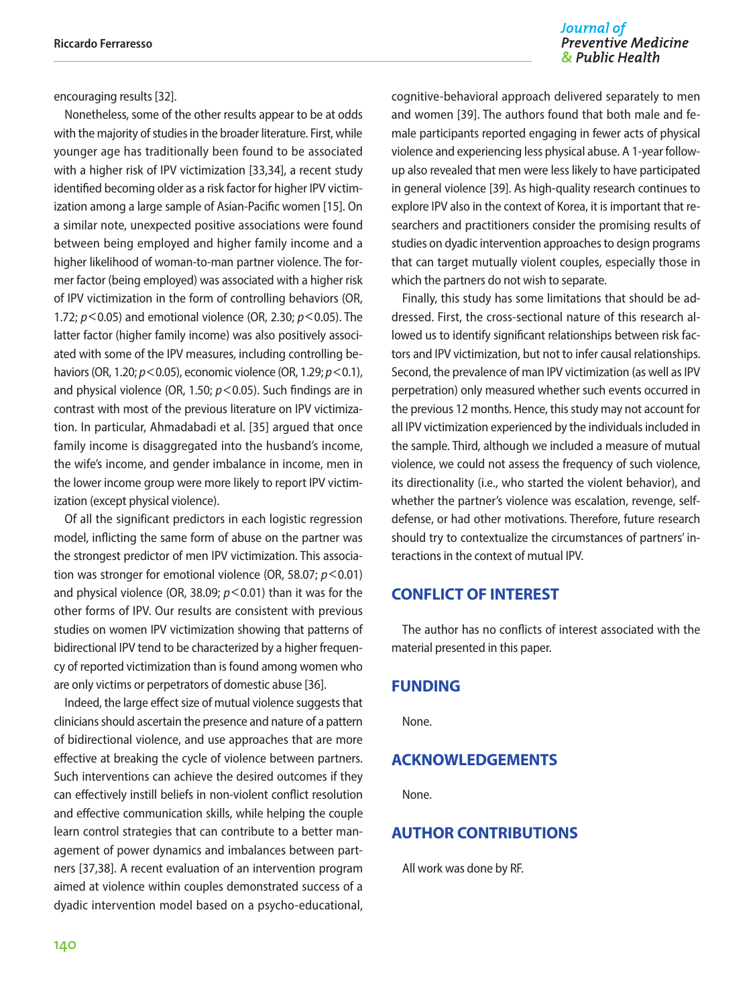Journal of **Preventive Medicine** & Public Health

encouraging results [32].

Nonetheless, some of the other results appear to be at odds with the majority of studies in the broader literature. First, while younger age has traditionally been found to be associated with a higher risk of IPV victimization [33,34], a recent study identified becoming older as a risk factor for higher IPV victimization among a large sample of Asian-Pacific women [15]. On a similar note, unexpected positive associations were found between being employed and higher family income and a higher likelihood of woman-to-man partner violence. The former factor (being employed) was associated with a higher risk of IPV victimization in the form of controlling behaviors (OR, 1.72; *p*<0.05) and emotional violence (OR, 2.30; *p*<0.05). The latter factor (higher family income) was also positively associated with some of the IPV measures, including controlling behaviors (OR, 1.20; *p*<0.05), economic violence (OR, 1.29; *p*<0.1), and physical violence (OR, 1.50; *p*<0.05). Such findings are in contrast with most of the previous literature on IPV victimization. In particular, Ahmadabadi et al. [35] argued that once family income is disaggregated into the husband's income, the wife's income, and gender imbalance in income, men in the lower income group were more likely to report IPV victimization (except physical violence).

Of all the significant predictors in each logistic regression model, inflicting the same form of abuse on the partner was the strongest predictor of men IPV victimization. This association was stronger for emotional violence (OR, 58.07; *p*<0.01) and physical violence (OR, 38.09;  $p$  < 0.01) than it was for the other forms of IPV. Our results are consistent with previous studies on women IPV victimization showing that patterns of bidirectional IPV tend to be characterized by a higher frequency of reported victimization than is found among women who are only victims or perpetrators of domestic abuse [36].

Indeed, the large effect size of mutual violence suggests that clinicians should ascertain the presence and nature of a pattern of bidirectional violence, and use approaches that are more effective at breaking the cycle of violence between partners. Such interventions can achieve the desired outcomes if they can effectively instill beliefs in non-violent conflict resolution and effective communication skills, while helping the couple learn control strategies that can contribute to a better management of power dynamics and imbalances between partners [37,38]. A recent evaluation of an intervention program aimed at violence within couples demonstrated success of a dyadic intervention model based on a psycho-educational,

cognitive-behavioral approach delivered separately to men and women [39]. The authors found that both male and female participants reported engaging in fewer acts of physical violence and experiencing less physical abuse. A 1-year followup also revealed that men were less likely to have participated in general violence [39]. As high-quality research continues to explore IPV also in the context of Korea, it is important that researchers and practitioners consider the promising results of studies on dyadic intervention approaches to design programs that can target mutually violent couples, especially those in which the partners do not wish to separate.

Finally, this study has some limitations that should be addressed. First, the cross-sectional nature of this research allowed us to identify significant relationships between risk factors and IPV victimization, but not to infer causal relationships. Second, the prevalence of man IPV victimization (as well as IPV perpetration) only measured whether such events occurred in the previous 12 months. Hence, this study may not account for all IPV victimization experienced by the individuals included in the sample. Third, although we included a measure of mutual violence, we could not assess the frequency of such violence, its directionality (i.e., who started the violent behavior), and whether the partner's violence was escalation, revenge, selfdefense, or had other motivations. Therefore, future research should try to contextualize the circumstances of partners' interactions in the context of mutual IPV.

## **CONFLICT OF INTEREST**

The author has no conflicts of interest associated with the material presented in this paper.

## **FUNDING**

None.

## **ACKNOWLEDGEMENTS**

None.

### **AUTHOR CONTRIBUTIONS**

All work was done by RF.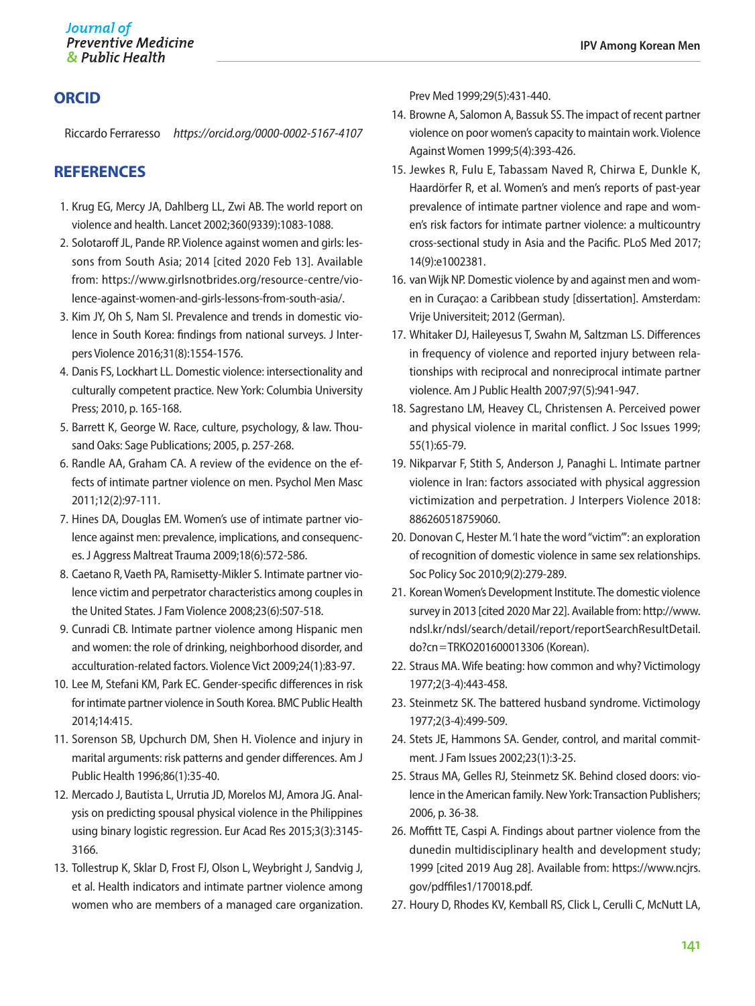## **ORCID**

Riccardo Ferraresso *https://orcid.org/0000-0002-5167-4107*

## **REFERENCES**

- 1. Krug EG, Mercy JA, Dahlberg LL, Zwi AB. The world report on violence and health. Lancet 2002;360(9339):1083-1088.
- 2. Solotaroff JL, Pande RP. Violence against women and girls: lessons from South Asia; 2014 [cited 2020 Feb 13]. Available from: https://www.girlsnotbrides.org/resource-centre/violence-against-women-and-girls-lessons-from-south-asia/.
- 3. Kim JY, Oh S, Nam SI. Prevalence and trends in domestic violence in South Korea: findings from national surveys. J Interpers Violence 2016;31(8):1554-1576.
- 4. Danis FS, Lockhart LL. Domestic violence: intersectionality and culturally competent practice. New York: Columbia University Press; 2010, p. 165-168.
- 5. Barrett K, George W. Race, culture, psychology, & law. Thousand Oaks: Sage Publications; 2005, p. 257-268.
- 6. Randle AA, Graham CA. A review of the evidence on the effects of intimate partner violence on men. Psychol Men Masc 2011;12(2):97-111.
- 7. Hines DA, Douglas EM. Women's use of intimate partner violence against men: prevalence, implications, and consequences. J Aggress Maltreat Trauma 2009;18(6):572-586.
- 8. Caetano R, Vaeth PA, Ramisetty-Mikler S. Intimate partner violence victim and perpetrator characteristics among couples in the United States. J Fam Violence 2008;23(6):507-518.
- 9. Cunradi CB. Intimate partner violence among Hispanic men and women: the role of drinking, neighborhood disorder, and acculturation-related factors. Violence Vict 2009;24(1):83-97.
- 10. Lee M, Stefani KM, Park EC. Gender-specific differences in risk for intimate partner violence in South Korea. BMC Public Health 2014;14:415.
- 11. Sorenson SB, Upchurch DM, Shen H. Violence and injury in marital arguments: risk patterns and gender differences. Am J Public Health 1996;86(1):35-40.
- 12. Mercado J, Bautista L, Urrutia JD, Morelos MJ, Amora JG. Analysis on predicting spousal physical violence in the Philippines using binary logistic regression. Eur Acad Res 2015;3(3):3145- 3166.
- 13. Tollestrup K, Sklar D, Frost FJ, Olson L, Weybright J, Sandvig J, et al. Health indicators and intimate partner violence among women who are members of a managed care organization.

Prev Med 1999;29(5):431-440.

- 14. Browne A, Salomon A, Bassuk SS. The impact of recent partner violence on poor women's capacity to maintain work. Violence Against Women 1999;5(4):393-426.
- 15. Jewkes R, Fulu E, Tabassam Naved R, Chirwa E, Dunkle K, Haardörfer R, et al. Women's and men's reports of past-year prevalence of intimate partner violence and rape and women's risk factors for intimate partner violence: a multicountry cross-sectional study in Asia and the Pacific. PLoS Med 2017; 14(9):e1002381.
- 16. van Wijk NP. Domestic violence by and against men and women in Curaçao: a Caribbean study [dissertation]. Amsterdam: Vrije Universiteit; 2012 (German).
- 17. Whitaker DJ, Haileyesus T, Swahn M, Saltzman LS. Differences in frequency of violence and reported injury between relationships with reciprocal and nonreciprocal intimate partner violence. Am J Public Health 2007;97(5):941-947.
- 18. Sagrestano LM, Heavey CL, Christensen A. Perceived power and physical violence in marital conflict. J Soc Issues 1999; 55(1):65-79.
- 19. Nikparvar F, Stith S, Anderson J, Panaghi L. Intimate partner violence in Iran: factors associated with physical aggression victimization and perpetration. J Interpers Violence 2018: 886260518759060.
- 20. Donovan C, Hester M. 'I hate the word "victim"': an exploration of recognition of domestic violence in same sex relationships. Soc Policy Soc 2010;9(2):279-289.
- 21. Korean Women's Development Institute. The domestic violence survey in 2013 [cited 2020 Mar 22]. Available from: [http://www.](http://www.ndsl.kr/ndsl/search/detail/report/reportSearchResultDetail.do%3Fcn%3DTRKO201600013306)  [ndsl.kr/ndsl/search/detail/report/reportSearchResultDetail.](http://www.ndsl.kr/ndsl/search/detail/report/reportSearchResultDetail.do%3Fcn%3DTRKO201600013306) do?cn=[TRKO201600013306](http://www.ndsl.kr/ndsl/search/detail/report/reportSearchResultDetail.do%3Fcn%3DTRKO201600013306) (Korean).
- 22. Straus MA. Wife beating: how common and why? Victimology 1977;2(3-4):443-458.
- 23. Steinmetz SK. The battered husband syndrome. Victimology 1977;2(3-4):499-509.
- 24. Stets JE, Hammons SA. Gender, control, and marital commitment. J Fam Issues 2002;23(1):3-25.
- 25. Straus MA, Gelles RJ, Steinmetz SK. Behind closed doors: violence in the American family. New York: Transaction Publishers; 2006, p. 36-38.
- 26. Moffitt TE, Caspi A. Findings about partner violence from the dunedin multidisciplinary health and development study; 1999 [cited 2019 Aug 28]. Available from: [https://www.ncjrs.](https://www.ncjrs.gov/pdffiles1/170018.pdf) [gov/pdffiles1/170018.pdf](https://www.ncjrs.gov/pdffiles1/170018.pdf).
- 27. Houry D, Rhodes KV, Kemball RS, Click L, Cerulli C, McNutt LA,